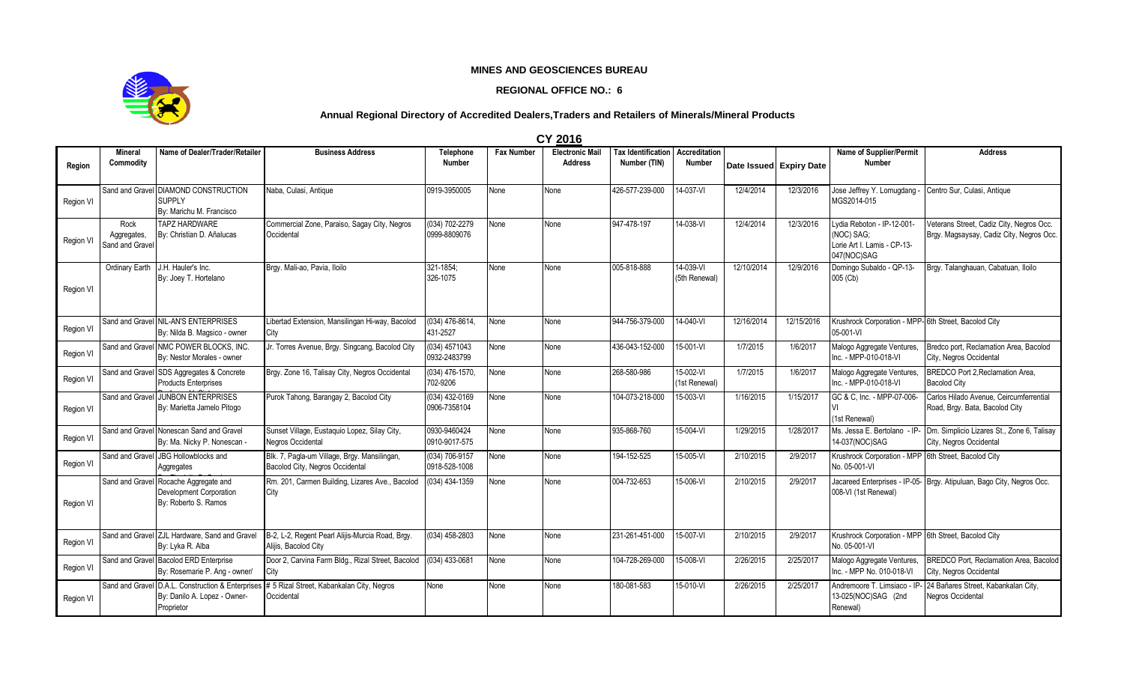## **MINES AND GEOSCIENCES BUREAU**

## **REGIONAL OFFICE NO.: 6**



## **Annual Regional Directory of Accredited Dealers,Traders and Retailers of Minerals/Mineral Products**

**CY 2016**

| Region    | Mineral<br>Commodity                   | Name of Dealer/Trader/Retailer                                                    | <b>Business Address</b>                                                                                   | Telephone<br><b>Number</b>      | <b>Fax Number</b> | <b>Electronic Mail</b><br><b>Address</b> | <b>Tax Identification</b><br>Number (TIN) | <b>Accreditation</b><br><b>Number</b> |            | Date Issued Expiry Date | <b>Name of Supplier/Permit</b><br><b>Number</b>                                        | <b>Address</b>                                                                       |
|-----------|----------------------------------------|-----------------------------------------------------------------------------------|-----------------------------------------------------------------------------------------------------------|---------------------------------|-------------------|------------------------------------------|-------------------------------------------|---------------------------------------|------------|-------------------------|----------------------------------------------------------------------------------------|--------------------------------------------------------------------------------------|
| Region VI |                                        | Sand and Gravel DIAMOND CONSTRUCTION<br><b>SUPPLY</b><br>By: Marichu M. Francisco | Naba, Culasi, Antique                                                                                     | 0919-3950005                    | None              | None                                     | 426-577-239-000                           | 14-037-VI                             | 12/4/2014  | 12/3/2016               | Jose Jeffrey Y. Lomugdang<br>MGS2014-015                                               | Centro Sur, Culasi, Antique                                                          |
| Region VI | Rock<br>Aggregates,<br>Sand and Gravel | <b>TAPZ HARDWARE</b><br>By: Christian D. Añalucas                                 | Commercial Zone, Paraiso, Sagay City, Negros<br>Occidental                                                | (034) 702-2279<br>0999-8809076  | None              | None                                     | 947-478-197                               | 14-038-VI                             | 12/4/2014  | 12/3/2016               | Lydia Reboton - IP-12-001-<br>(NOC) SAG;<br>Lorie Art I. Lamis - CP-13-<br>047(NOC)SAG | Veterans Street, Cadiz City, Negros Occ.<br>Brgy. Magsaysay, Cadiz City, Negros Occ. |
| Region VI | Ordinary Earth                         | J.H. Hauler's Inc.<br>By: Joey T. Hortelano                                       | Brgy. Mali-ao, Pavia, Iloilo                                                                              | 321-1854:<br>326-1075           | None              | None                                     | 005-818-888                               | 14-039-VI<br>(5th Renewal)            | 12/10/2014 | 12/9/2016               | Domingo Subaldo - QP-13-<br>005 (Cb)                                                   | Brgy. Talanghauan, Cabatuan, Iloilo                                                  |
| Region VI |                                        | Sand and Gravel NIL-AN'S ENTERPRISES<br>By: Nilda B. Magsico - owner              | Libertad Extension, Mansilingan Hi-way, Bacolod<br>City                                                   | (034) 476-8614,<br>431-2527     | None              | None                                     | 944-756-379-000                           | 14-040-VI                             | 12/16/2014 | 12/15/2016              | Krushrock Corporation - MPP-6th Street, Bacolod City<br>05-001-VI                      |                                                                                      |
| Region VI |                                        | Sand and Gravel NMC POWER BLOCKS, INC.<br>By: Nestor Morales - owner              | Jr. Torres Avenue, Brgy. Singcang, Bacolod City                                                           | (034) 4571043<br>0932-2483799   | None              | None                                     | 436-043-152-000                           | 15-001-VI                             | 1/7/2015   | 1/6/2017                | Malogo Aggregate Ventures,<br>Inc. - MPP-010-018-VI                                    | Bredco port, Reclamation Area, Bacolod<br>City, Negros Occidental                    |
| Region VI |                                        | Sand and Gravel SDS Aggregates & Concrete<br><b>Products Enterprises</b>          | Brgy. Zone 16, Talisay City, Negros Occidental                                                            | (034) 476-1570.<br>702-9206     | None              | None                                     | 268-580-986                               | 15-002-VI<br>(1st Renewal)            | 1/7/2015   | 1/6/2017                | Malogo Aggregate Ventures,<br>Inc. - MPP-010-018-VI                                    | BREDCO Port 2. Reclamation Area.<br><b>Bacolod City</b>                              |
| Region VI |                                        | Sand and Gravel JUNBON ENTERPRISES<br>By: Marietta Jamelo Pitogo                  | Purok Tahong, Barangay 2, Bacolod City                                                                    | (034) 432-0169<br>0906-7358104  | <b>None</b>       | None                                     | 104-073-218-000                           | 15-003-VI                             | 1/16/2015  | 1/15/2017               | GC & C. Inc. - MPP-07-006-<br>(1st Renewal)                                            | Carlos Hilado Avenue, Ceircumferrential<br>Road, Brgy. Bata, Bacolod City            |
| Region VI |                                        | Sand and Gravel Nonescan Sand and Gravel<br>By: Ma. Nicky P. Nonescan -           | Sunset Village, Eustaquio Lopez, Silay City,<br>Negros Occidental                                         | 0930-9460424<br>0910-9017-575   | None              | None                                     | 935-868-760                               | 15-004-VI                             | 1/29/2015  | 1/28/2017               | Ms. Jessa E. Bertolano - IP-<br>14-037(NOC)SAG                                         | Dm. Simplicio Lizares St., Zone 6, Talisay<br>City, Negros Occidental                |
| Region VI |                                        | Sand and Gravel JBG Hollowblocks and<br>Aggregates                                | Blk. 7, Pagla-um Village, Brgy. Mansilingan,<br>Bacolod City, Negros Occidental                           | (034) 706-9157<br>0918-528-1008 | None              | None                                     | 194-152-525                               | 15-005-VI                             | 2/10/2015  | 2/9/2017                | Krushrock Corporation - MPP 6th Street, Bacolod City<br>No. 05-001-VI                  |                                                                                      |
| Region VI | Sand and Gravel                        | Rocache Aggregate and<br>Development Corporation<br>By: Roberto S. Ramos          | Rm. 201, Carmen Building, Lizares Ave., Bacolod<br>City                                                   | (034) 434-1359                  | None              | None                                     | 004-732-653                               | 15-006-VI                             | 2/10/2015  | 2/9/2017                | 008-VI (1st Renewal)                                                                   | Jacareed Enterprises - IP-05- Brgy. Atipuluan, Bago City, Negros Occ.                |
| Region VI |                                        | Sand and Gravel ZJL Hardware, Sand and Gravel<br>By: Lyka R. Alba                 | B-2, L-2, Regent Pearl Alijis-Murcia Road, Brgy.<br>Alijis, Bacolod City                                  | $(034)$ 458-2803                | None              | None                                     | 231-261-451-000                           | 15-007-VI                             | 2/10/2015  | 2/9/2017                | Krushrock Corporation - MPP 6th Street, Bacolod City<br>No. 05-001-VI                  |                                                                                      |
| Region VI |                                        | Sand and Gravel Bacolod ERD Enterprise<br>By: Rosemarie P. Ang - owner/           | Door 2, Carvina Farm Bldg., Rizal Street, Bacolod<br>City                                                 | (034) 433-0681                  | None              | None                                     | 104-728-269-000                           | 15-008-VI                             | 2/26/2015  | 2/25/2017               | Malogo Aggregate Ventures,<br>Inc. - MPP No. 010-018-VI                                | BREDCO Port, Reclamation Area, Bacolod<br>City, Negros Occidental                    |
| Region VI |                                        | By: Danilo A. Lopez - Owner-<br>Proprietor                                        | Sand and Gravel D.A.L. Construction & Enterprises # 5 Rizal Street, Kabankalan City, Negros<br>Occidental | None                            | None              | None                                     | 180-081-583                               | 15-010-VI                             | 2/26/2015  | 2/25/2017               | Andremoore T. Limsiaco - IP<br>13-025(NOC)SAG (2nd<br>Renewal)                         | 24 Bañares Street, Kabankalan City,<br>Negros Occidental                             |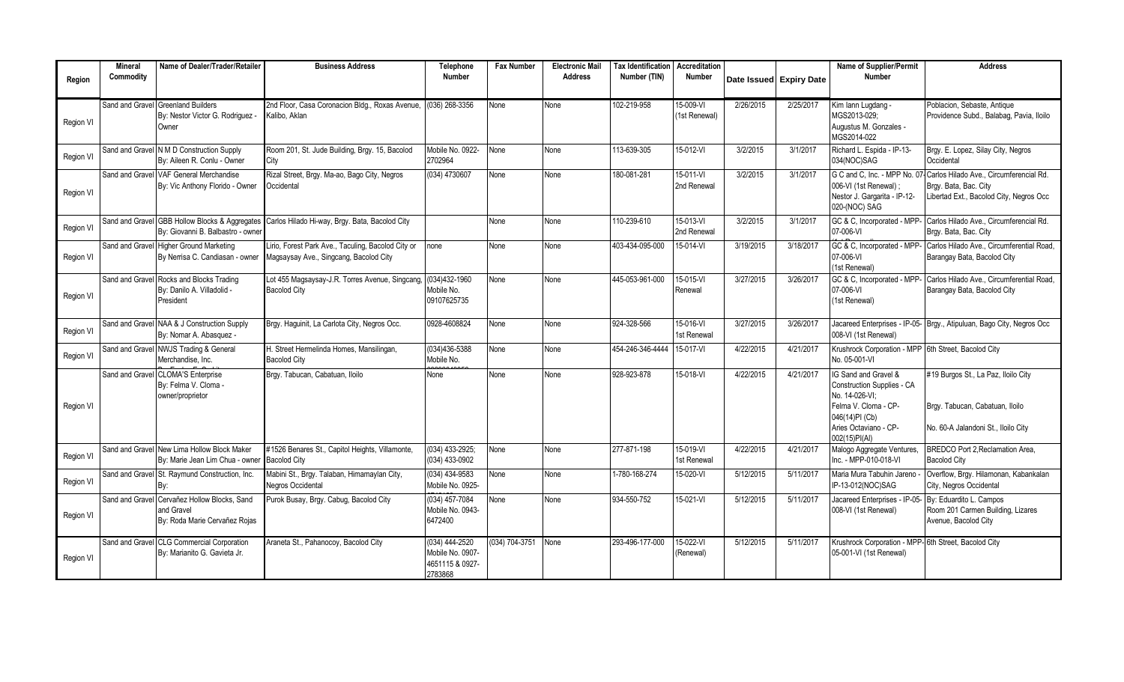|                  | <b>Mineral</b>  | Name of Dealer/Trader/Retailer                                                 | <b>Business Address</b>                                                                      | Telephone                                                          | <b>Fax Number</b>  | <b>Electronic Mail</b> | <b>Tax Identification   Accreditation</b> |                            |           |                         | Name of Supplier/Permit                                                                                                                                         | <b>Address</b>                                                                                                |
|------------------|-----------------|--------------------------------------------------------------------------------|----------------------------------------------------------------------------------------------|--------------------------------------------------------------------|--------------------|------------------------|-------------------------------------------|----------------------------|-----------|-------------------------|-----------------------------------------------------------------------------------------------------------------------------------------------------------------|---------------------------------------------------------------------------------------------------------------|
| Region           | Commodity       |                                                                                |                                                                                              | <b>Number</b>                                                      |                    | <b>Address</b>         | Number (TIN)                              | <b>Number</b>              |           | Date Issued Expiry Date | <b>Number</b>                                                                                                                                                   |                                                                                                               |
| Region VI        | Sand and Gravel | <b>Greenland Builders</b><br>By: Nestor Victor G. Rodriquez -<br>Owner         | 2nd Floor, Casa Coronacion Bldg., Roxas Avenue,<br>Kalibo, Aklan                             | (036) 268-3356                                                     | None               | None                   | 102-219-958                               | 15-009-VI<br>(1st Renewal) | 2/26/2015 | 2/25/2017               | Kim lann Lugdang -<br>MGS2013-029:<br>Augustus M. Gonzales -<br>MGS2014-022                                                                                     | Poblacion, Sebaste, Antique<br>Providence Subd., Balabag, Pavia, Iloilo                                       |
| <b>Region VI</b> |                 | Sand and Gravel N M D Construction Supply<br>By: Aileen R. Conlu - Owner       | Room 201, St. Jude Building, Brgy. 15, Bacolod<br>City                                       | Mobile No. 0922-<br>2702964                                        | None               | None                   | 113-639-305                               | 15-012-VI                  | 3/2/2015  | 3/1/2017                | Richard L. Espida - IP-13-<br>034(NOC)SAG                                                                                                                       | Brgy. E. Lopez, Silay City, Negros<br>Occidental                                                              |
| Region VI        |                 | Sand and Gravel VAF General Merchandise<br>By: Vic Anthony Florido - Owner     | Rizal Street, Brgy. Ma-ao, Bago City, Negros<br>Occidental                                   | (034) 4730607                                                      | None               | None                   | 180-081-281                               | 15-011-VI<br>2nd Renewal   | 3/2/2015  | 3/1/2017                | G C and C, Inc. - MPP No. 07<br>006-VI (1st Renewal)<br>Nestor J. Gargarita - IP-12-<br>020-(NOC) SAG                                                           | Carlos Hilado Ave., Circumferencial Rd.<br>Brgy. Bata, Bac. City<br>Libertad Ext., Bacolod City, Negros Occ   |
| Region VI        | Sand and Gravel | <b>GBB Hollow Blocks &amp; Aggregates</b><br>By: Giovanni B. Balbastro - owner | Carlos Hilado Hi-way, Brgy. Bata, Bacolod City                                               |                                                                    | None               | None                   | 110-239-610                               | 15-013-VI<br>2nd Renewal   | 3/2/2015  | 3/1/2017                | GC & C, Incorporated - MPP-<br>07-006-VI                                                                                                                        | Carlos Hilado Ave., Circumferencial Rd.<br>Brgy. Bata, Bac. City                                              |
| Region VI        |                 | Sand and Gravel Higher Ground Marketing<br>By Nerrisa C. Candiasan - owner     | Lirio, Forest Park Ave., Taculing, Bacolod City or<br>Magsaysay Ave., Singcang, Bacolod City | none                                                               | None               | None                   | 403-434-095-000                           | 15-014-VI                  | 3/19/2015 | 3/18/2017               | GC & C, Incorporated - MPP-<br>07-006-VI<br>1st Renewal)                                                                                                        | Carlos Hilado Ave., Circumferential Road,<br>Barangay Bata, Bacolod City                                      |
| Region VI        | Sand and Gravel | Rocks and Blocks Trading<br>By: Danilo A. Villadolid -<br>President            | Lot 455 Magsaysay-J.R. Torres Avenue, Singcang,<br><b>Bacolod City</b>                       | $(034)432 - 1960$<br>Mobile No.<br>09107625735                     | None               | None                   | 445-053-961-000                           | 15-015-VI<br>Renewal       | 3/27/2015 | 3/26/2017               | GC & C, Incorporated - MPP-<br>07-006-VI<br>(1st Renewal)                                                                                                       | Carlos Hilado Ave., Circumferential Road.<br>Barangay Bata, Bacolod City                                      |
| Region VI        |                 | Sand and Gravel NAA & J Construction Supply<br>By: Nomar A. Abasquez -         | Brgy. Haquinit, La Carlota City, Negros Occ.                                                 | 0928-4608824                                                       | None               | None                   | 924-328-566                               | 15-016-VI<br>1st Renewal   | 3/27/2015 | 3/26/2017               | 008-VI (1st Renewal)                                                                                                                                            | Jacareed Enterprises - IP-05- Brgy., Atipuluan, Bago City, Negros Occ                                         |
| Region VI        | Sand and Gravel | <b>NWJS Trading &amp; General</b><br>Merchandise, Inc.                         | H. Street Hermelinda Homes, Mansilingan,<br><b>Bacolod City</b>                              | $(034)436 - 5388$<br>Mobile No.                                    | None               | None                   | 454-246-346-4444 15-017-VI                |                            | 4/22/2015 | 4/21/2017               | Krushrock Corporation - MPP 6th Street, Bacolod City<br>No. 05-001-VI                                                                                           |                                                                                                               |
| Region VI        | Sand and Grave  | <b>CLOMA'S Enterprise</b><br>By: Felma V. Cloma -<br>owner/proprietor          | Brgy. Tabucan, Cabatuan, Iloilo                                                              | None                                                               | None               | None                   | 928-923-878                               | 15-018-VI                  | 4/22/2015 | 4/21/2017               | IG Sand and Gravel &<br><b>Construction Supplies - CA</b><br>No. 14-026-VI:<br>Felma V. Cloma - CP-<br>046(14)PI (Cb)<br>Aries Octaviano - CP-<br>002(15)PI(AI) | #19 Burgos St., La Paz, Iloilo City<br>Brgy. Tabucan, Cabatuan, Iloilo<br>No. 60-A Jalandoni St., Iloilo City |
| Region VI        |                 | Sand and Gravel New Lima Hollow Block Maker<br>By: Marie Jean Lim Chua - owner | #1526 Benares St., Capitol Heights, Villamonte,<br><b>Bacolod City</b>                       | (034) 433-2925;<br>(034) 433-0902                                  | None               | None                   | 277-871-198                               | 15-019-VI<br>1st Renewal   | 4/22/2015 | 4/21/2017               | Malogo Aggregate Ventures,<br>Inc. - MPP-010-018-VI                                                                                                             | <b>BREDCO Port 2, Reclamation Area,</b><br><b>Bacolod City</b>                                                |
| Region VI        | Sand and Gravel | St. Raymund Construction, Inc.                                                 | Mabini St., Brgy. Talaban, Himamaylan City,<br>Negros Occidental                             | (034) 434-9583<br>Mobile No. 0925-                                 | <b>None</b>        | None                   | 1-780-168-274                             | 15-020-VI                  | 5/12/2015 | 5/11/2017               | Maria Mura Tabuhin Jareno<br>IP-13-012(NOC)SAG                                                                                                                  | Overflow, Brgy. Hilamonan, Kabankalan<br>City, Negros Occidental                                              |
| Region VI        | Sand and Grave  | Cervañez Hollow Blocks, Sand<br>and Gravel<br>By: Roda Marie Cervañez Rojas    | Purok Busay, Brgy. Cabug, Bacolod City                                                       | $(034)$ 457-7084<br>Mobile No. 0943-<br>6472400                    | None               | None                   | 934-550-752                               | 15-021-VI                  | 5/12/2015 | 5/11/2017               | Jacareed Enterprises - IP-05<br>008-VI (1st Renewal)                                                                                                            | By: Eduardito L. Campos<br>Room 201 Carmen Building, Lizares<br>Avenue, Bacolod City                          |
| Region VI        | Sand and Gravel | <b>CLG Commercial Corporation</b><br>By: Marianito G. Gavieta Jr.              | Araneta St., Pahanocoy, Bacolod City                                                         | $(034)$ 444-2520<br>Mobile No. 0907-<br>4651115 & 0927-<br>2783868 | $(034) 704 - 3751$ | None                   | 293-496-177-000                           | 15-022-VI<br>(Renewal)     | 5/12/2015 | 5/11/2017               | Krushrock Corporation - MPP-6th Street, Bacolod City<br>05-001-VI (1st Renewal)                                                                                 |                                                                                                               |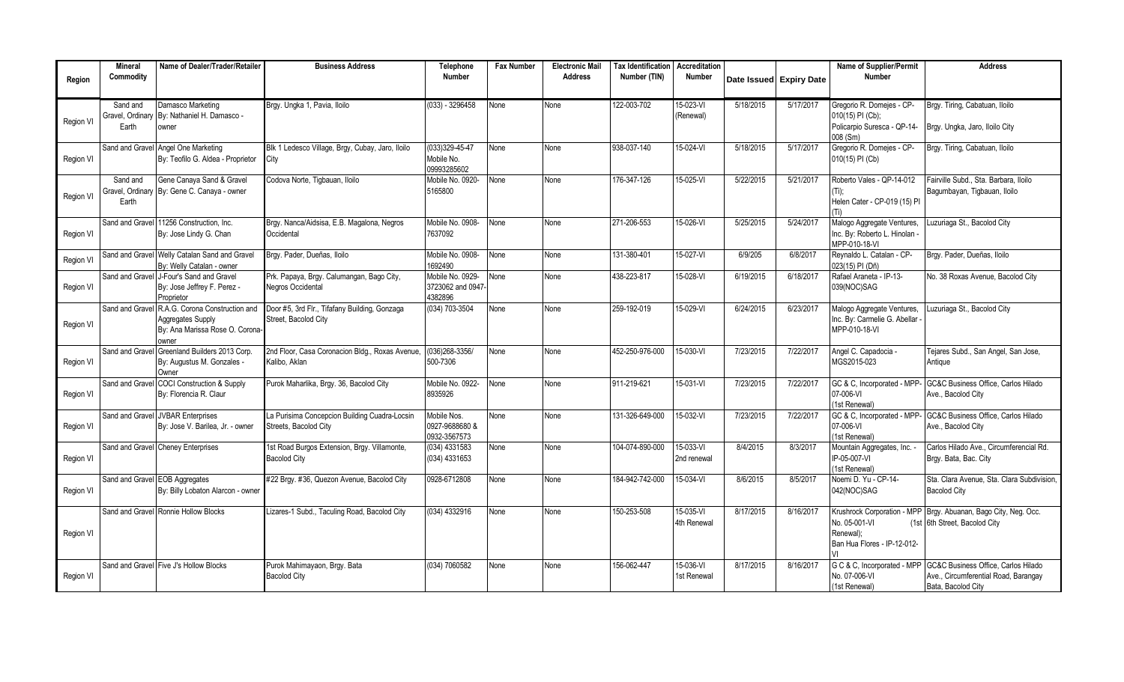|           | <b>Mineral</b>                 | Name of Dealer/Trader/Retailer                 | <b>Business Address</b>                          | <b>Telephone</b>            | <b>Fax Number</b> | <b>Electronic Mail</b> | <b>Tax Identification</b> | Accreditation          |           |                         | Name of Supplier/Permit                  | <b>Address</b>                                                  |
|-----------|--------------------------------|------------------------------------------------|--------------------------------------------------|-----------------------------|-------------------|------------------------|---------------------------|------------------------|-----------|-------------------------|------------------------------------------|-----------------------------------------------------------------|
| Region    | Commodity                      |                                                |                                                  | <b>Number</b>               |                   | <b>Address</b>         | Number (TIN)              | <b>Number</b>          |           | Date Issued Expiry Date | <b>Number</b>                            |                                                                 |
|           |                                |                                                |                                                  |                             |                   |                        |                           |                        |           |                         |                                          |                                                                 |
|           | Sand and                       | Damasco Marketing                              | Brgy. Ungka 1, Pavia, Iloilo                     | $(033) - 3296458$           | None              | None                   | 122-003-702               | 15-023-VI              | 5/18/2015 | 5/17/2017               | Gregorio R. Domejes - CP-                | Brgy. Tiring, Cabatuan, Iloilo                                  |
| Region VI | Gravel, Ordinary               | By: Nathaniel H. Damasco -                     |                                                  |                             |                   |                        |                           | (Renewal)              |           |                         | 010(15) PI (Cb);                         |                                                                 |
|           | Earth                          | owner                                          |                                                  |                             |                   |                        |                           |                        |           |                         | Policarpio Suresca - QP-14-              | Brgy. Ungka, Jaro, Iloilo City                                  |
|           | Sand and Grave                 | Angel One Marketing                            | Blk 1 Ledesco Village, Brgy, Cubay, Jaro, Iloilo | (033)329-45-47              | None              | None                   | 938-037-140               | 15-024-VI              | 5/18/2015 | 5/17/2017               | 008 (Sm)<br>Gregorio R. Domejes - CP-    | Brgy. Tiring, Cabatuan, Iloilo                                  |
| Region VI |                                | By: Teofilo G. Aldea - Proprietor              | City                                             | Mobile No.                  |                   |                        |                           |                        |           |                         | 010(15) PI (Cb)                          |                                                                 |
|           |                                |                                                |                                                  | 09993285602                 |                   |                        |                           |                        |           |                         |                                          |                                                                 |
|           | Sand and                       | Gene Canaya Sand & Gravel                      | Codova Norte, Tigbauan, Iloilo                   | Mobile No. 0920-            | None              | None                   | 176-347-126               | 15-025-VI              | 5/22/2015 | 5/21/2017               | Roberto Vales - QP-14-012                | Fairville Subd., Sta. Barbara, Iloilo                           |
| Region VI | Gravel, Ordinary               | By: Gene C. Canaya - owner                     |                                                  | 5165800                     |                   |                        |                           |                        |           |                         |                                          | Bagumbayan, Tigbauan, Iloilo                                    |
|           | Earth                          |                                                |                                                  |                             |                   |                        |                           |                        |           |                         | Helen Cater - CP-019 (15) PI             |                                                                 |
|           |                                | Sand and Gravel 11256 Construction. Inc.       | Brgy. Nanca/Aidsisa, E.B. Magalona, Negros       | Mobile No. 0908-            | None              | None                   | 271-206-553               | 15-026-VI              | 5/25/2015 | 5/24/2017               | Malogo Aggregate Ventures,               | uzuriaga St., Bacolod City                                      |
| Region VI |                                | By: Jose Lindy G. Chan                         | Occidental                                       | 7637092                     |                   |                        |                           |                        |           |                         | Inc. By: Roberto L. Hinolan -            |                                                                 |
|           |                                |                                                |                                                  |                             |                   |                        |                           |                        |           |                         | MPP-010-18-VI                            |                                                                 |
|           |                                | Sand and Gravel Welly Catalan Sand and Gravel  | Brgy. Pader, Dueñas, Iloilo                      | Mobile No. 0908-            | None              | None                   | 131-380-401               | 15-027-VI              | 6/9/205   | 6/8/2017                | Reynaldo L. Catalan - CP-                | Brgy. Pader, Dueñas, Iloilo                                     |
| Region VI |                                | By: Welly Catalan - owner                      |                                                  | 1692490                     |                   |                        |                           |                        |           |                         | 023(15) PI (Dñ)                          |                                                                 |
|           |                                | Sand and Gravel J-Four's Sand and Gravel       | Prk. Papaya, Brgy. Calumangan, Bago City,        | Mobile No. 0929-            | None              | None                   | 438-223-817               | 15-028-VI              | 6/19/2015 | 6/18/2017               | Rafael Araneta - IP-13-                  | No. 38 Roxas Avenue, Bacolod City                               |
| Region VI |                                | By: Jose Jeffrey F. Perez -                    | Negros Occidental                                | 3723062 and 0947<br>4382896 |                   |                        |                           |                        |           |                         | 039(NOC)SAG                              |                                                                 |
|           | Sand and Grave                 | Proprietor<br>R.A.G. Corona Construction and   | Door #5, 3rd Flr., Tifafany Building, Gonzaga    | (034) 703-3504              | None              | None                   | 259-192-019               | 15-029-VI              | 6/24/2015 | 6/23/2017               | Malogo Aggregate Ventures,               | Luzuriaga St., Bacolod City                                     |
|           |                                | Aggregates Supply                              | Street, Bacolod City                             |                             |                   |                        |                           |                        |           |                         | Inc. By: Carmelie G. Abellar             |                                                                 |
| Region VI |                                | By: Ana Marissa Rose O. Corona-                |                                                  |                             |                   |                        |                           |                        |           |                         | MPP-010-18-VI                            |                                                                 |
|           |                                | owner                                          |                                                  |                             |                   |                        |                           |                        |           |                         |                                          |                                                                 |
|           | Sand and Gravel                | Greenland Builders 2013 Corp.                  | 2nd Floor, Casa Coronacion Bldg., Roxas Avenue,  | $(036)268 - 3356/$          | None              | None                   | 452-250-976-000           | 15-030-VI              | 7/23/2015 | 7/22/2017               | Angel C. Capadocia -                     | Tejares Subd., San Angel, San Jose,                             |
| Region VI |                                | By: Augustus M. Gonzales -                     | Kalibo, Aklan                                    | 500-7306                    |                   |                        |                           |                        |           |                         | MGS2015-023                              | Antique                                                         |
|           | Sand and Gravel                | Owner<br><b>COCI Construction &amp; Supply</b> | Purok Maharlika, Brgy. 36, Bacolod City          | Mobile No. 0922-            | None              | None                   | 911-219-621               | 15-031-VI              | 7/23/2015 | 7/22/2017               | GC & C, Incorporated - MPP               | GC&C Business Office, Carlos Hilado                             |
| Region VI |                                | By: Florencia R. Claur                         |                                                  | 8935926                     |                   |                        |                           |                        |           |                         | 07-006-VI                                | Ave., Bacolod City                                              |
|           |                                |                                                |                                                  |                             |                   |                        |                           |                        |           |                         | (1st Renewal)                            |                                                                 |
|           |                                | Sand and Gravel JVBAR Enterprises              | La Purisima Concepcion Building Cuadra-Locsin    | Mobile Nos.                 | None              | None                   | 131-326-649-000           | 15-032-VI              | 7/23/2015 | 7/22/2017               | GC & C, Incorporated - MPP-              | GC&C Business Office. Carlos Hilado                             |
| Region VI |                                | By: Jose V. Barilea, Jr. - owner               | Streets. Bacolod City                            | 0927-9688680 &              |                   |                        |                           |                        |           |                         | 07-006-VI                                | Ave., Bacolod City                                              |
|           |                                |                                                |                                                  | 0932-3567573                |                   |                        |                           |                        |           |                         | (1st Renewal)                            |                                                                 |
|           |                                | Sand and Gravel Cheney Enterprises             | 1st Road Burgos Extension, Brgy. Villamonte,     | $(034)$ 4331583             | None              | None                   | 104-074-890-000           | 15-033-VI              | 8/4/2015  | 8/3/2017                | Mountain Aggregates, Inc. -              | Carlos Hilado Ave., Circumferencial Rd.                         |
| Region VI |                                |                                                | <b>Bacolod City</b>                              | (034) 4331653               |                   |                        |                           | 2nd renewal            |           |                         | IP-05-007-VI<br>(1st Renewal)            | Brgy. Bata, Bac. City                                           |
|           | Sand and Gravel EOB Aggregates |                                                | #22 Brgy. #36, Quezon Avenue, Bacolod City       | 0928-6712808                | None              | None                   | 184-942-742-000           | 15-034-VI              | 8/6/2015  | 8/5/2017                | Noemi D. Yu - CP-14-                     | Sta. Clara Avenue. Sta. Clara Subdivision.                      |
| Region VI |                                | By: Billy Lobaton Alarcon - owner              |                                                  |                             |                   |                        |                           |                        |           |                         | 042(NOC)SAG                              | <b>Bacolod City</b>                                             |
|           |                                |                                                |                                                  |                             |                   |                        |                           |                        |           |                         |                                          |                                                                 |
|           | Sand and Gravel                | Ronnie Hollow Blocks                           | Lizares-1 Subd., Taculing Road, Bacolod City     | (034) 4332916               | None              | None                   | 150-253-508               | $15-035-\overline{VI}$ | 8/17/2015 | 8/16/2017               |                                          | Krushrock Corporation - MPP Brgy. Abuanan, Bago City, Neg. Occ. |
|           |                                |                                                |                                                  |                             |                   |                        |                           | 4th Renewal            |           |                         | No. 05-001-VI                            | (1st 6th Street, Bacolod City                                   |
| Region VI |                                |                                                |                                                  |                             |                   |                        |                           |                        |           |                         | Renewal):<br>Ban Hua Flores - IP-12-012- |                                                                 |
|           |                                |                                                |                                                  |                             |                   |                        |                           |                        |           |                         |                                          |                                                                 |
|           |                                | Sand and Gravel Five J's Hollow Blocks         | Purok Mahimayaon, Brgy. Bata                     | (034) 7060582               | None              | None                   | 156-062-447               | 15-036-VI              | 8/17/2015 | 8/16/2017               | G C & C, Incorporated - MPP              | GC&C Business Office, Carlos Hilado                             |
| Region VI |                                |                                                | <b>Bacolod City</b>                              |                             |                   |                        |                           | 1st Renewal            |           |                         | No. 07-006-VI                            | Ave., Circumferential Road, Barangay                            |
|           |                                |                                                |                                                  |                             |                   |                        |                           |                        |           |                         | (1st Renewal)                            | Bata, Bacolod City                                              |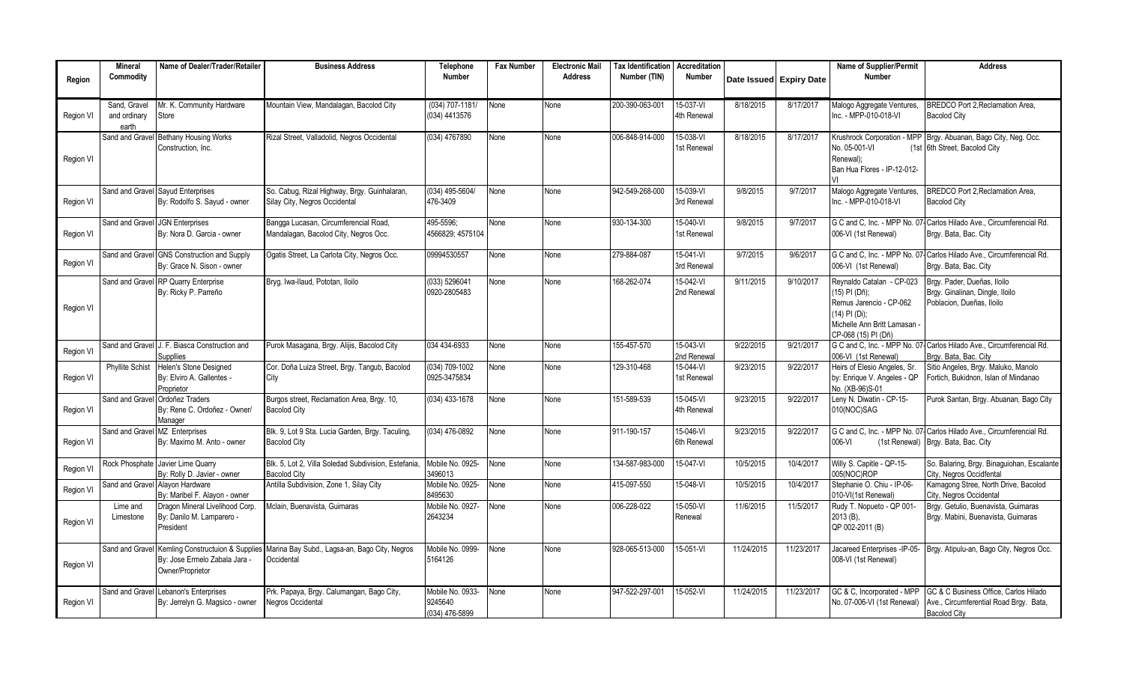|           | <b>Mineral</b>        | Name of Dealer/Trader/Retailer                                           | <b>Business Address</b>                                                        | Telephone                   | <b>Fax Number</b> | <b>Electronic Mail</b> | <b>Tax Identification</b> | Accreditation            |            |                         | Name of Supplier/Permit                                   | <b>Address</b>                                                                                 |
|-----------|-----------------------|--------------------------------------------------------------------------|--------------------------------------------------------------------------------|-----------------------------|-------------------|------------------------|---------------------------|--------------------------|------------|-------------------------|-----------------------------------------------------------|------------------------------------------------------------------------------------------------|
| Region    | Commodity             |                                                                          |                                                                                | <b>Number</b>               |                   | <b>Address</b>         | Number (TIN)              | Number                   |            | Date Issued Expiry Date | <b>Number</b>                                             |                                                                                                |
|           |                       |                                                                          |                                                                                |                             |                   |                        |                           |                          |            |                         |                                                           |                                                                                                |
|           | Sand, Gravel          | Mr. K. Community Hardware                                                | Mountain View, Mandalagan, Bacolod City                                        | (034) 707-1181/             | None              | None                   | 200-390-063-001           | 15-037-VI                | 8/18/2015  | 8/17/2017               | Malogo Aggregate Ventures,                                | BREDCO Port 2.Reclamation Area.                                                                |
| Region VI | and ordinary<br>earth | Store                                                                    |                                                                                | (034) 4413576               |                   |                        |                           | 4th Renewal              |            |                         | Inc. - MPP-010-018-VI                                     | <b>Bacolod City</b>                                                                            |
|           | Sand and Gravel       | <b>Bethany Housing Works</b>                                             | Rizal Street, Valladolid, Negros Occidental                                    | (034) 4767890               | None              | None                   | 006-848-914-000           | $15-038 - VI$            | 8/18/2015  | 8/17/2017               |                                                           | Krushrock Corporation - MPP Brgy. Abuanan, Bago City, Neg. Occ.                                |
|           |                       | Construction. Inc.                                                       |                                                                                |                             |                   |                        |                           | 1st Renewal              |            |                         | No. 05-001-VI                                             | (1st 6th Street, Bacolod City)                                                                 |
| Region VI |                       |                                                                          |                                                                                |                             |                   |                        |                           |                          |            |                         | Renewal):                                                 |                                                                                                |
|           |                       |                                                                          |                                                                                |                             |                   |                        |                           |                          |            |                         | Ban Hua Flores - IP-12-012-                               |                                                                                                |
|           | Sand and Gravel       | Sayud Enterprises                                                        | So. Cabug, Rizal Highway, Brgy. Guinhalaran,                                   | (034) 495-5604/             | None              | None                   | 942-549-268-000           | 15-039-VI                | 9/8/2015   | 9/7/2017                | Malogo Aggregate Ventures,                                | <b>BREDCO Port 2.Reclamation Area.</b>                                                         |
| Region VI |                       | By: Rodolfo S. Sayud - owner                                             | Silay City, Negros Occidental                                                  | 476-3409                    |                   |                        |                           | 3rd Renewal              |            |                         | Inc. - MPP-010-018-VI                                     | <b>Bacolod City</b>                                                                            |
|           |                       | <b>JGN</b> Enterprises                                                   |                                                                                | 495-5596:                   | None              | None                   | 930-134-300               | 15-040-VI                | 9/8/2015   | 9/7/2017                | G C and C. Inc. - MPP No. 07                              | Carlos Hilado Ave., Circumferencial Rd.                                                        |
| Region VI | Sand and Gravel       | By: Nora D. Garcia - owner                                               | Bangga Lucasan, Circumferencial Road,<br>Mandalagan, Bacolod City, Negros Occ. | 4566829: 4575104            |                   |                        |                           | 1st Renewal              |            |                         | 006-VI (1st Renewal)                                      | Brgy. Bata, Bac. City                                                                          |
|           |                       |                                                                          |                                                                                |                             |                   |                        |                           |                          |            |                         |                                                           |                                                                                                |
| Region VI |                       | Sand and Gravel GNS Construction and Supply                              | Ogatis Street, La Carlota City, Negros Occ.                                    | 09994530557                 | None              | None                   | 279-884-087               | 15-041-VI                | 9/7/2015   | 9/6/2017                |                                                           | G C and C. Inc. - MPP No. 07- Carlos Hilado Ave., Circumferencial Rd.                          |
|           |                       | By: Grace N. Sison - owner                                               |                                                                                |                             |                   |                        |                           | 3rd Renewal              |            |                         | 006-VI (1st Renewal)                                      | Brgy. Bata, Bac. City                                                                          |
|           | Sand and Gravel       | RP Quarry Enterprise                                                     | Bryg. Iwa-Ilaud, Pototan, Iloilo                                               | (033) 5296041               | None              | None                   | 168-262-074               | $15-042 - V1$            | 9/11/2015  | 9/10/2017               | Revnaldo Catalan - CP-023                                 | Brav, Pader, Dueñas, Iloilo                                                                    |
|           |                       | By: Ricky P. Parreño                                                     |                                                                                | 0920-2805483                |                   |                        |                           | 2nd Renewal              |            |                         | (15) PI (Dñ);<br>Remus Jarencio - CP-062                  | Brgy. Ginalinan, Dingle, Iloilo<br>Poblacion, Dueñas, Iloilo                                   |
| Region VI |                       |                                                                          |                                                                                |                             |                   |                        |                           |                          |            |                         | (14) PI (Di);                                             |                                                                                                |
|           |                       |                                                                          |                                                                                |                             |                   |                        |                           |                          |            |                         | Michelle Ann Britt Lamasan                                |                                                                                                |
|           |                       |                                                                          |                                                                                |                             |                   |                        |                           |                          |            |                         | CP-068 (15) PI (Dñ)                                       |                                                                                                |
| Region VI |                       | Sand and Gravel J. F. Biasca Construction and<br><b>Suppllies</b>        | Purok Masagana, Brgy. Alijis, Bacolod City                                     | 034 434-6933                | None              | None                   | 155-457-570               | 15-043-VI<br>2nd Renewal | 9/22/2015  | 9/21/2017               | 006-VI (1st Renewal)                                      | G C and C. Inc. - MPP No. 07- Carlos Hilado Ave., Circumferencial Rd.<br>Brav, Bata, Bac, City |
|           | Phyllite Schist       | Helen's Stone Designed                                                   | Cor. Doña Luiza Street, Brgy. Tangub, Bacolod                                  | (034) 709-1002              | None              | None                   | 129-310-468               | $15-044-VI$              | 9/23/2015  | 9/22/2017               | Heirs of Elesio Angeles, Sr.                              | Sitio Angeles, Brgy. Maluko, Manolo                                                            |
| Region VI |                       | By: Elviro A. Gallentes -                                                | City                                                                           | 0925-3475834                |                   |                        |                           | 1st Renewal              |            |                         | by: Enrique V. Angeles - QP                               | Fortich, Bukidnon, Islan of Mindanao                                                           |
|           |                       | Proprietor<br>Ordoñez Traders                                            |                                                                                | $(034)$ 433-1678            |                   |                        | 151-589-539               | 15-045-VI                | 9/23/2015  | 9/22/2017               | No. (XB-96)S-01                                           |                                                                                                |
| Region VI | Sand and Gravel       | By: Rene C. Ordoñez - Owner/                                             | Burgos street, Reclamation Area, Brgy. 10,<br><b>Bacolod City</b>              |                             | None              | None                   |                           | 4th Renewal              |            |                         | Leny N. Diwatin - CP-15-<br>010(NOC)SAG                   | Purok Santan, Brgy. Abuanan, Bago City                                                         |
|           |                       | Manager                                                                  |                                                                                |                             |                   |                        |                           |                          |            |                         |                                                           |                                                                                                |
|           | Sand and Gravel       | <b>MZ</b> Enterprises                                                    | Blk. 9, Lot 9 Sta. Lucia Garden, Brgy. Taculing,                               | (034) 476-0892              | None              | None                   | 911-190-157               | 15-046-VI                | 9/23/2015  | 9/22/2017               |                                                           | G C and C. Inc. - MPP No. 07- Carlos Hilado Ave., Circumferencial Rd.                          |
| Region VI |                       | By: Maximo M. Anto - owner                                               | <b>Bacolod City</b>                                                            |                             |                   |                        |                           | 6th Renewal              |            |                         | 006-VI                                                    | (1st Renewal) Brgy. Bata, Bac. City                                                            |
|           |                       | Rock Phosphate Javier Lime Quarry                                        | Blk. 5. Lot 2. Villa Soledad Subdivision. Estefania.                           | Mobile No. 0925-            | None              | None                   | 134-587-983-000           | 15-047-VI                | 10/5/2015  | 10/4/2017               | Willy S. Capitle - QP-15-                                 | So. Balaring, Brgy. Binaguiohan, Escalante                                                     |
| Region VI |                       | By: Rolly D. Javier - owner                                              | <b>Bacolod City</b>                                                            | 3496013                     |                   |                        |                           |                          |            |                         | 005(NOC)ROP                                               | City, Negros Occidfental                                                                       |
| Region VI | Sand and Gravel       | Alayon Hardware<br>By: Maribel F. Alayon - owner                         | Antilla Subdivision, Zone 1, Silay City                                        | Mobile No. 0925-<br>8495630 | None              | None                   | 415-097-550               | 15-048-VI                | 10/5/2015  | 10/4/2017               | Stephanie O. Chiu - IP-06-<br>010-VI(1st Renewal)         | Kamagong Stree, North Drive, Bacolod<br>City, Negros Occidental                                |
|           | Lime and              | Dragon Mineral Livelihood Corp.                                          | Mclain, Buenavista, Guimaras                                                   | Mobile No. 0927-            | None              | None                   | 006-228-022               | 15-050-VI                | 11/6/2015  | 11/5/2017               | Rudy T. Nopueto - QP 001-                                 | Brgy. Getulio, Buenavista, Guimaras                                                            |
| Region VI | Limestone             | By: Danilo M. Lamparero -                                                |                                                                                | 2643234                     |                   |                        |                           | Renewal                  |            |                         | 2013 (B),                                                 | Brgy. Mabini, Buenavista, Guimaras                                                             |
|           |                       | President                                                                |                                                                                |                             |                   |                        |                           |                          |            |                         | QP 002-2011 (B)                                           |                                                                                                |
|           | Sand and Grave        | Kemling Constructuion & Supplies                                         | Marina Bay Subd., Lagsa-an, Bago City, Negros                                  | Mobile No. 0999-            | None              | None                   | 928-065-513-000           | 15-051-VI                | 11/24/2015 | 11/23/2017              | Jacareed Enterprises -IP-05-                              | Brgy. Atipulu-an, Bago City, Negros Occ.                                                       |
|           |                       | By: Jose Ermelo Zabala Jara -                                            | Occidental                                                                     | 5164126                     |                   |                        |                           |                          |            |                         | 008-VI (1st Renewal)                                      |                                                                                                |
| Region VI |                       | Owner/Proprietor                                                         |                                                                                |                             |                   |                        |                           |                          |            |                         |                                                           |                                                                                                |
|           |                       |                                                                          |                                                                                |                             |                   |                        |                           |                          |            |                         |                                                           |                                                                                                |
| Region VI |                       | Sand and Gravel Lebanon's Enterprises<br>By: Jerrelyn G. Magsico - owner | Prk. Papaya, Brgy. Calumangan, Bago City,<br><b>Negros Occidental</b>          | Mobile No. 0933-<br>9245640 | None              | None                   | 947-522-297-001           | 15-052-VI                | 11/24/2015 | 11/23/2017              | GC & C, Incorporated - MPP<br>No. 07-006-VI (1st Renewal) | GC & C Business Office, Carlos Hilado<br>Ave., Circumferential Road Brgy. Bata,                |
|           |                       |                                                                          |                                                                                | (034) 476-5899              |                   |                        |                           |                          |            |                         |                                                           | <b>Bacolod City</b>                                                                            |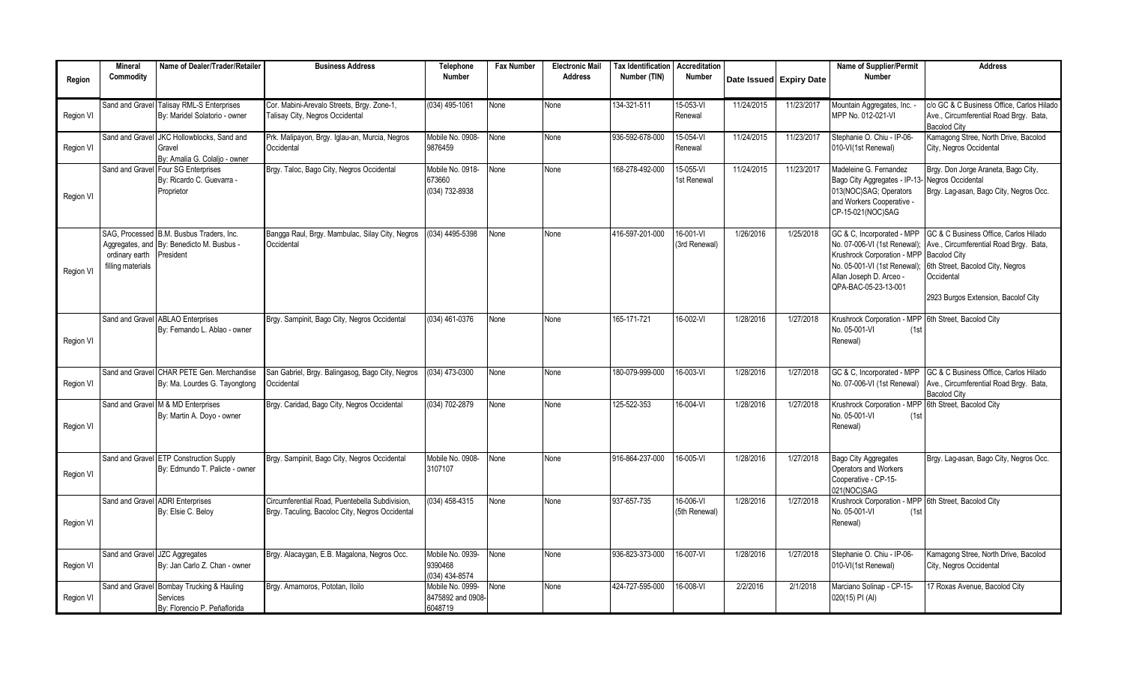|           | <b>Mineral</b>                      | Name of Dealer/Trader/Retailer                   | <b>Business Address</b>                          | Telephone         | <b>Fax Number</b> | <b>Electronic Mail</b> | <b>Tax Identification</b> | Accreditation   |            |                         | Name of Supplier/Permit                                    | <b>Address</b>                                          |
|-----------|-------------------------------------|--------------------------------------------------|--------------------------------------------------|-------------------|-------------------|------------------------|---------------------------|-----------------|------------|-------------------------|------------------------------------------------------------|---------------------------------------------------------|
| Region    | Commodity                           |                                                  |                                                  | <b>Number</b>     |                   | <b>Address</b>         | Number (TIN)              | Number          |            | Date Issued Expiry Date | Number                                                     |                                                         |
|           |                                     |                                                  |                                                  |                   |                   |                        |                           |                 |            |                         |                                                            |                                                         |
|           |                                     | Sand and Gravel Talisay RML-S Enterprises        | Cor. Mabini-Arevalo Streets, Brgy. Zone-1,       | (034) 495-1061    | None              | None                   | 134-321-511               | 15-053-VI       | 11/24/2015 | 11/23/2017              | Mountain Aggregates, Inc.                                  | c/o GC & C Business Office. Carlos Hilado               |
| Region VI |                                     | By: Maridel Solatorio - owner                    | Talisay City, Negros Occidental                  |                   |                   |                        |                           | Renewal         |            |                         | MPP No. 012-021-VI                                         | Ave., Circumferential Road Brgy. Bata,                  |
|           |                                     |                                                  |                                                  |                   |                   |                        |                           |                 |            |                         |                                                            | <b>Bacolod City</b>                                     |
|           | Sand and Gravel                     | JKC Hollowblocks. Sand and                       | Prk. Malipayon, Brgy. Iglau-an, Murcia, Negros   | Mobile No. 0908-  | None              | None                   | 936-592-678-000           | $15-054 - V1$   | 11/24/2015 | 11/23/2017              | Stephanie O. Chiu - IP-06-                                 | Kamagong Stree, North Drive, Bacolod                    |
| Region VI |                                     | Gravel                                           | Occidental                                       | 9876459           |                   |                        |                           | Renewal         |            |                         | 010-VI(1st Renewal)                                        | City, Negros Occidental                                 |
|           |                                     | By: Amalia G. Colalio - owner                    |                                                  | Mobile No. 0918-  |                   |                        | 168-278-492-000           | 15-055-VI       | 11/24/2015 | 11/23/2017              | Madeleine G. Fernandez                                     |                                                         |
|           | Sand and Grave                      | Four SG Enterprises<br>By: Ricardo C. Guevarra - | Brgy. Taloc, Bago City, Negros Occidental        | 673660            | None              | None                   |                           | 1st Renewal     |            |                         | Bago City Aggregates - IP-13- Negros Occidental            | Brgy. Don Jorge Araneta, Bago City,                     |
|           |                                     | Proprietor                                       |                                                  | (034) 732-8938    |                   |                        |                           |                 |            |                         | 013(NOC)SAG; Operators                                     | Brgy. Lag-asan, Bago City, Negros Occ.                  |
| Region VI |                                     |                                                  |                                                  |                   |                   |                        |                           |                 |            |                         | and Workers Cooperative -                                  |                                                         |
|           |                                     |                                                  |                                                  |                   |                   |                        |                           |                 |            |                         | CP-15-021(NOC)SAG                                          |                                                         |
|           |                                     |                                                  |                                                  |                   |                   |                        |                           |                 |            |                         |                                                            |                                                         |
|           |                                     | SAG. Processed B.M. Busbus Traders. Inc.         | Bangga Raul, Brgy. Mambulac, Silay City, Negros  | (034) 4495-5398   | None              | None                   | 416-597-201-000           | 16-001-VI       | 1/26/2016  | 1/25/2018               | GC & C, Incorporated - MPP                                 | GC & C Business Office. Carlos Hilado                   |
|           | Aggregates, and                     | By: Benedicto M. Busbus -                        | Occidental                                       |                   |                   |                        |                           | (3rd Renewal)   |            |                         | No. 07-006-VI (1st Renewal)                                | Ave., Circumferential Road Brgy. Bata,                  |
|           | ordinary earth<br>filling materials | President                                        |                                                  |                   |                   |                        |                           |                 |            |                         | Krushrock Corporation - MPP<br>No. 05-001-VI (1st Renewal) | <b>Bacolod City</b><br>6th Street, Bacolod City, Negros |
| Region VI |                                     |                                                  |                                                  |                   |                   |                        |                           |                 |            |                         | Allan Joseph D. Arceo -                                    | Occidental                                              |
|           |                                     |                                                  |                                                  |                   |                   |                        |                           |                 |            |                         | QPA-BAC-05-23-13-001                                       |                                                         |
|           |                                     |                                                  |                                                  |                   |                   |                        |                           |                 |            |                         |                                                            | 2923 Burgos Extension, Bacolof City                     |
|           |                                     |                                                  |                                                  |                   |                   |                        |                           |                 |            |                         |                                                            |                                                         |
|           |                                     | Sand and Gravel ABLAO Enterprises                | Brgy. Sampinit, Bago City, Negros Occidental     | (034) 461-0376    | None              | None                   | 165-171-721               | 16-002-VI       | 1/28/2016  | 1/27/2018               | Krushrock Corporation - MPP                                | 6th Street, Bacolod City                                |
|           |                                     | By: Fernando L. Ablao - owner                    |                                                  |                   |                   |                        |                           |                 |            |                         | Vo. 05-001-VI<br>(1st)                                     |                                                         |
| Region VI |                                     |                                                  |                                                  |                   |                   |                        |                           |                 |            |                         | Renewal)                                                   |                                                         |
|           |                                     |                                                  |                                                  |                   |                   |                        |                           |                 |            |                         |                                                            |                                                         |
|           |                                     | Sand and Gravel CHAR PETE Gen. Merchandise       | San Gabriel, Brgy. Balingasog, Bago City, Negros | (034) 473-0300    | None              | None                   | 180-079-999-000           | 16-003-VI       | 1/28/2016  | 1/27/2018               | GC & C, Incorporated - MPP                                 | GC & C Business Office, Carlos Hilado                   |
| Region VI |                                     | By: Ma. Lourdes G. Tayongtong                    | Occidental                                       |                   |                   |                        |                           |                 |            |                         | No. 07-006-VI (1st Renewal)                                | Ave., Circumferential Road Brgy. Bata,                  |
|           |                                     |                                                  |                                                  |                   |                   |                        |                           |                 |            |                         |                                                            | <b>Bacolod City</b>                                     |
|           |                                     | Sand and Gravel M & MD Enterprises               | Brgy. Caridad, Bago City, Negros Occidental      | (034) 702-2879    | None              | None                   | 125-522-353               | 16-004-VI       | 1/28/2016  | 1/27/2018               | Krushrock Corporation - MPP                                | 6th Street, Bacolod City                                |
|           |                                     | By: Martin A. Doyo - owner                       |                                                  |                   |                   |                        |                           |                 |            |                         | No. 05-001-VI<br>(1st                                      |                                                         |
| Region VI |                                     |                                                  |                                                  |                   |                   |                        |                           |                 |            |                         | Renewal)                                                   |                                                         |
|           |                                     |                                                  |                                                  |                   |                   |                        |                           |                 |            |                         |                                                            |                                                         |
|           | Sand and Gravel                     | <b>ETP Construction Supply</b>                   | Brgy. Sampinit, Bago City, Negros Occidental     | Mobile No. 0908-  | None              | None                   | 916-864-237-000           | 16-005-VI       | 1/28/2016  | 1/27/2018               | <b>Bago City Aggregates</b>                                | Brgy. Lag-asan, Bago City, Negros Occ.                  |
|           |                                     | By: Edmundo T. Palicte - owner                   |                                                  | 3107107           |                   |                        |                           |                 |            |                         | Operators and Workers                                      |                                                         |
| Region VI |                                     |                                                  |                                                  |                   |                   |                        |                           |                 |            |                         | Cooperative - CP-15-                                       |                                                         |
|           |                                     |                                                  |                                                  |                   |                   |                        |                           |                 |            |                         | 021(NOC)SAG                                                |                                                         |
|           | Sand and Grave                      | <b>ADRI Enterprises</b>                          | Circumferential Road. Puentebella Subdivision.   | (034) 458-4315    | None              | None                   | 937-657-735               | 16-006-VI       | 1/28/2016  | 1/27/2018               | Krushrock Corporation - MPP 6th Street, Bacolod City       |                                                         |
|           |                                     | By: Elsie C. Beloy                               | Brgy. Taculing, Bacoloc City, Negros Occidental  |                   |                   |                        |                           | (5th Renewal)   |            |                         | Vo. 05-001-VI<br>(1st)                                     |                                                         |
| Region VI |                                     |                                                  |                                                  |                   |                   |                        |                           |                 |            |                         | Renewal)                                                   |                                                         |
|           |                                     |                                                  |                                                  |                   |                   |                        |                           |                 |            |                         |                                                            |                                                         |
|           | Sand and Gravel                     | <b>JZC Aggregates</b>                            | Brgy. Alacaygan, E.B. Magalona, Negros Occ.      | Mobile No. 0939-  | None              | None                   | 936-823-373-000           | $16 - 007 - V1$ | 1/28/2016  | 1/27/2018               | Stephanie O. Chiu - IP-06-                                 | Kamagong Stree, North Drive, Bacolod                    |
| Region VI |                                     | By: Jan Carlo Z. Chan - owner                    |                                                  | 9390468           |                   |                        |                           |                 |            |                         | 010-VI(1st Renewal)                                        | City, Negros Occidental                                 |
|           |                                     |                                                  |                                                  | (034) 434-8574    |                   |                        |                           |                 |            |                         |                                                            |                                                         |
|           |                                     | Sand and Gravel Bombay Trucking & Hauling        | Brgy. Amamoros, Pototan, Iloilo                  | Mobile No. 0999-  | None              | None                   | 424-727-595-000           | 16-008-VI       | 2/2/2016   | 2/1/2018                | Marciano Solinap - CP-15-                                  | 17 Roxas Avenue, Bacolod City                           |
| Region VI |                                     | Services                                         |                                                  | 8475892 and 0908- |                   |                        |                           |                 |            |                         | 020(15) PI (AI)                                            |                                                         |
|           |                                     | By: Florencio P. Peñaflorida                     |                                                  | 6048719           |                   |                        |                           |                 |            |                         |                                                            |                                                         |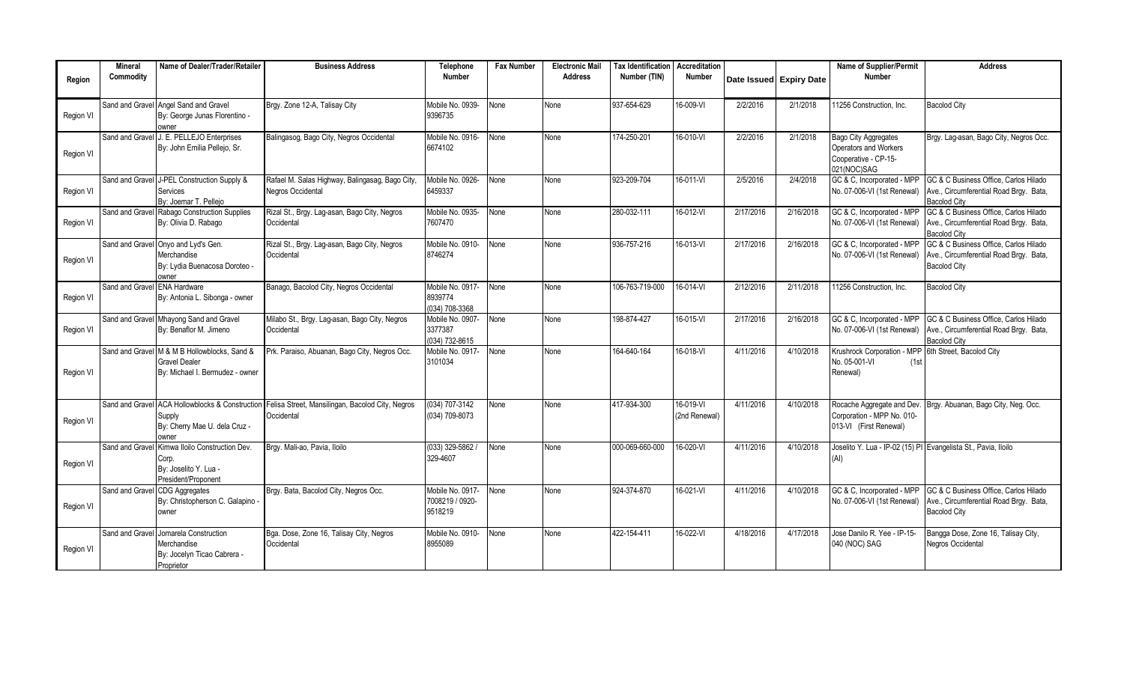|           | <b>Mineral</b>  | Name of Dealer/Trader/Retailer                                                                          | <b>Business Address</b>                                                                        | Telephone                                      | <b>Fax Number</b> | <b>Electronic Mail</b> | <b>Tax Identification Accreditation</b> |                            |           |                         | Name of Supplier/Permit                                                                     | <b>Address</b>                                                                                         |
|-----------|-----------------|---------------------------------------------------------------------------------------------------------|------------------------------------------------------------------------------------------------|------------------------------------------------|-------------------|------------------------|-----------------------------------------|----------------------------|-----------|-------------------------|---------------------------------------------------------------------------------------------|--------------------------------------------------------------------------------------------------------|
| Region    | Commodity       |                                                                                                         |                                                                                                | <b>Number</b>                                  |                   | <b>Address</b>         | Number (TIN)                            | <b>Number</b>              |           | Date Issued Expiry Date | <b>Number</b>                                                                               |                                                                                                        |
| Region VI |                 | Sand and Gravel Angel Sand and Gravel<br>By: George Junas Florentino -<br>owner                         | Brgy. Zone 12-A. Talisay City                                                                  | Mobile No. 0939-<br>9396735                    | None              | None                   | 937-654-629                             | 16-009-VI                  | 2/2/2016  | 2/1/2018                | 11256 Construction, Inc.                                                                    | <b>Bacolod City</b>                                                                                    |
| Region VI | Sand and Gravel | J. E. PELLEJO Enterprises<br>By: John Emilia Pellejo, Sr.                                               | Balingasog, Bago City, Negros Occidental                                                       | Mobile No. 0916-<br>6674102                    | Vone              | None                   | 174-250-201                             | 16-010-VI                  | 2/2/2016  | 2/1/2018                | <b>Bago City Aggregates</b><br>Operators and Workers<br>Cooperative - CP-15-<br>021(NOC)SAG | Brgy. Lag-asan, Bago City, Negros Occ.                                                                 |
| Region VI |                 | Sand and Gravel J-PEL Construction Supply &<br>Services<br>By: Joemar T. Pellejo                        | Rafael M. Salas Highway, Balingasag, Bago City,<br>Negros Occidental                           | Mobile No. 0926-<br>6459337                    | <b>None</b>       | None                   | 923-209-704                             | 16-011-VI                  | 2/5/2016  | 2/4/2018                | GC & C. Incorporated - MPP<br>No. 07-006-VI (1st Renewal)                                   | GC & C Business Office. Carlos Hilado<br>Ave., Circumferential Road Brgy. Bata,<br><b>Bacolod City</b> |
| Region VI | Sand and Gravel | Rabago Construction Supplies<br>By: Olivia D. Rabago                                                    | Rizal St., Brgy. Lag-asan, Bago City, Negros<br>Occidental                                     | Mobile No. 0935-<br>7607470                    | None              | None                   | 280-032-111                             | 16-012-VI                  | 2/17/2016 | 2/16/2018               | GC & C, Incorporated - MPP<br>No. 07-006-VI (1st Renewal)                                   | GC & C Business Office, Carlos Hilado<br>Ave., Circumferential Road Brgy. Bata,<br><b>Bacolod City</b> |
| Region VI |                 | Sand and Gravel Onyo and Lyd's Gen.<br>Merchandise<br>By: Lydia Buenacosa Doroteo -<br>owner            | Rizal St., Brgy. Lag-asan, Bago City, Negros<br>Occidental                                     | Mobile No. 0910-<br>8746274                    | None              | None                   | 936-757-216                             | 16-013-VI                  | 2/17/2016 | 2/16/2018               | GC & C, Incorporated - MPP<br>No. 07-006-VI (1st Renewal)                                   | GC & C Business Office, Carlos Hilado<br>Ave., Circumferential Road Brgy. Bata,<br><b>Bacolod City</b> |
| Region VI | Sand and Gravel | <b>ENA Hardware</b><br>By: Antonia L. Sibonga - owner                                                   | Banago, Bacolod City, Negros Occidental                                                        | Mobile No. 0917-<br>8939774<br>(034) 708-3368  | None              | None                   | 106-763-719-000                         | 16-014-VI                  | 2/12/2016 | 2/11/2018               | 11256 Construction, Inc.                                                                    | <b>Bacolod City</b>                                                                                    |
| Region VI |                 | Sand and Gravel Mhayong Sand and Gravel<br>By: Benaflor M. Jimeno                                       | Milabo St., Brgy. Lag-asan, Bago City, Negros<br>Occidental                                    | Mobile No. 0907-<br>3377387<br>(034) 732-8615  | None              | None                   | 198-874-427                             | 16-015-VI                  | 2/17/2016 | 2/16/2018               | GC & C, Incorporated - MPP<br>No. 07-006-VI (1st Renewal)                                   | GC & C Business Office. Carlos Hilado<br>Ave., Circumferential Road Brgy. Bata,<br><b>Bacolod City</b> |
| Region VI |                 | Sand and Gravel M & M B Hollowblocks, Sand &<br><b>Gravel Dealer</b><br>By: Michael I. Bermudez - owner | Prk. Paraiso, Abuanan, Bago City, Negros Occ.                                                  | Mobile No. 0917-<br>3101034                    | None              | None                   | 164-640-164                             | 16-018-VI                  | 4/11/2016 | 4/10/2018               | Krushrock Corporation - MPP<br>No. 05-001-VI<br>(1st)<br>Renewal)                           | 6th Street, Bacolod City                                                                               |
| Region VI | Sand and Grave  | Supply<br>By: Cherry Mae U. dela Cruz -<br>owner                                                        | ACA Hollowblocks & Construction Felisa Street, Mansilingan, Bacolod City, Negros<br>Occidental | (034) 707-3142<br>(034) 709-8073               | None              | None                   | 417-934-300                             | 16-019-VI<br>(2nd Renewal) | 4/11/2016 | 4/10/2018               | Rocache Aggregate and Dev.<br>Corporation - MPP No. 010-<br>013-VI (First Renewal)          | Brgy. Abuanan, Bago City, Neg. Occ.                                                                    |
| Region VI | Sand and Gravel | Kimwa Iloilo Construction Dev.<br>Corp.<br>By: Joselito Y. Lua -<br>President/Proponent                 | Brgy. Mali-ao, Pavia, Iloilo                                                                   | $(033)$ 329-5862 /<br>329-4607                 | None              | None                   | 000-069-660-000                         | 16-020-VI                  | 4/11/2016 | 4/10/2018               | Joselito Y. Lua - IP-02 (15) PI Evangelista St., Pavia, Iloilo<br>(AI)                      |                                                                                                        |
| Region VI | Sand and Gravel | <b>CDG Aggregates</b><br>By: Christopherson C. Galapino -<br>owner                                      | Brgy. Bata, Bacolod City, Negros Occ.                                                          | Mobile No. 0917-<br>7008219 / 0920-<br>9518219 | None              | None                   | 924-374-870                             | 16-021-VI                  | 4/11/2016 | 4/10/2018               | GC & C, Incorporated - MPP<br>No. 07-006-VI (1st Renewal)                                   | GC & C Business Office. Carlos Hilado<br>Ave., Circumferential Road Brgy. Bata,<br><b>Bacolod City</b> |
| Region VI | Sand and Gravel | Jomarela Construction<br>Merchandise<br>By: Jocelyn Ticao Cabrera -<br>Proprietor                       | Bga. Dose, Zone 16, Talisay City, Negros<br>Occidental                                         | Mobile No. 0910-<br>8955089                    | None              | None                   | 422-154-411                             | 16-022-VI                  | 4/18/2016 | 4/17/2018               | Jose Danilo R. Yee - IP-15-<br>040 (NOC) SAG                                                | Bangga Dose, Zone 16, Talisay City,<br>Negros Occidental                                               |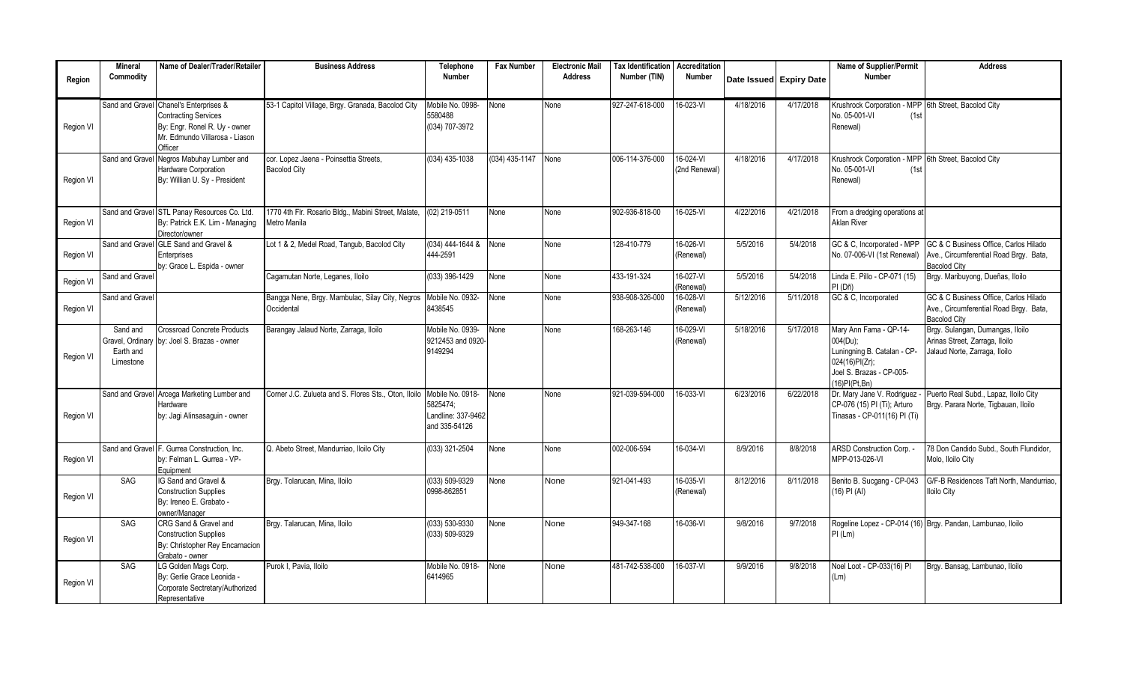|           | <b>Mineral</b>                     | Name of Dealer/Trader/Retailer                                                                                                                      | <b>Business Address</b>                                             | Telephone                                                           | <b>Fax Number</b> | <b>Electronic Mail</b> | Tax Identification   Accreditation |                                |           |                         | Name of Supplier/Permit                                                                                                          | <b>Address</b>                                                                                         |
|-----------|------------------------------------|-----------------------------------------------------------------------------------------------------------------------------------------------------|---------------------------------------------------------------------|---------------------------------------------------------------------|-------------------|------------------------|------------------------------------|--------------------------------|-----------|-------------------------|----------------------------------------------------------------------------------------------------------------------------------|--------------------------------------------------------------------------------------------------------|
| Region    | Commodity                          |                                                                                                                                                     |                                                                     | <b>Number</b>                                                       |                   | <b>Address</b>         | Number (TIN)                       | <b>Number</b>                  |           | Date Issued Expiry Date | <b>Number</b>                                                                                                                    |                                                                                                        |
| Region VI |                                    | Sand and Gravel Chanel's Enterprises &<br><b>Contracting Services</b><br>By: Engr. Ronel R. Uy - owner<br>Mr. Edmundo Villarosa - Liason<br>Officer | 53-1 Capitol Village, Brgy. Granada, Bacolod City                   | Mobile No. 0998-<br>5580488<br>(034) 707-3972                       | None              | None                   | 927-247-618-000                    | 16-023-VI                      | 4/18/2016 | 4/17/2018               | Krushrock Corporation - MPP 6th Street, Bacolod City<br>No. 05-001-VI<br>(1st)<br>Renewal)                                       |                                                                                                        |
| Region VI | Sand and Gravel                    | Negros Mabuhay Lumber and<br><b>Hardware Corporation</b><br>By: Willian U. Sy - President                                                           | cor. Lopez Jaena - Poinsettia Streets,<br><b>Bacolod City</b>       | (034) 435-1038                                                      | $(034)$ 435-1147  | None                   | 006-114-376-000                    | $16-024 - VI$<br>(2nd Renewal) | 4/18/2016 | 4/17/2018               | Krushrock Corporation - MPP 6th Street, Bacolod City<br>No. 05-001-VI<br>(1st)<br>Renewal)                                       |                                                                                                        |
| Region VI |                                    | Sand and Gravel STL Panay Resources Co. Ltd.<br>By: Patrick E.K. Lim - Managing<br>Director/owner                                                   | 1770 4th Flr. Rosario Bldg., Mabini Street, Malate,<br>Metro Manila | (02) 219-0511                                                       | None              | None                   | 902-936-818-00                     | 16-025-VI                      | 4/22/2016 | 4/21/2018               | From a dredging operations at<br><b>Aklan River</b>                                                                              |                                                                                                        |
| Region VI |                                    | Sand and Gravel GLE Sand and Gravel &<br>Enterprises<br>by: Grace L. Espida - owner                                                                 | Lot 1 & 2, Medel Road, Tangub, Bacolod City                         | 034) 444-1644 &<br>444-2591                                         | None              | Vone                   | 128-410-779                        | 16-026-VI<br>(Renewal)         | 5/5/2016  | 5/4/2018                | GC & C, Incorporated - MPP<br>No. 07-006-VI (1st Renewal)                                                                        | GC & C Business Office, Carlos Hilado<br>Ave., Circumferential Road Brgy. Bata,<br><b>Bacolod City</b> |
| Region VI | Sand and Gravel                    |                                                                                                                                                     | Cagamutan Norte, Leganes, Iloilo                                    | 033) 396-1429                                                       | None              | None                   | 433-191-324                        | 16-027-VI<br>(Renewal)         | 5/5/2016  | 5/4/2018                | Linda E. Pillo - CP-071 (15)<br>PI (Dñ)                                                                                          | Brgy. Maribuyong, Dueñas, Iloilo                                                                       |
| Region VI | Sand and Gravel                    |                                                                                                                                                     | Bangga Nene, Brgy. Mambulac, Silay City, Negros<br>Occidental       | Mobile No. 0932-<br>8438545                                         | None              | None                   | 938-908-326-000                    | 16-028-VI<br>(Renewal)         | 5/12/2016 | 5/11/2018               | GC & C, Incorporated                                                                                                             | GC & C Business Office. Carlos Hilado<br>Ave., Circumferential Road Brgy. Bata,<br><b>Bacolod City</b> |
| Region VI | Sand and<br>Earth and<br>Limestone | <b>Crossroad Concrete Products</b><br>Gravel, Ordinary by: Joel S. Brazas - owner                                                                   | Barangay Jalaud Norte, Zarraga, Iloilo                              | Mobile No. 0939-<br>9212453 and 0920<br>9149294                     | None              | None                   | 168-263-146                        | 16-029-VI<br>(Renewal)         | 5/18/2016 | 5/17/2018               | Mary Ann Fama - QP-14-<br>004(Du);<br>Luningning B. Catalan - CP-<br>024(16)PI(Zr);<br>Joel S. Brazas - CP-005-<br>(16)PI(Pt.Bn) | Brgy. Sulangan, Dumangas, Iloilo<br>Arinas Street, Zarraga, Iloilo<br>Jalaud Norte, Zarraga, Iloilo    |
| Region VI |                                    | Sand and Gravel Arcega Marketing Lumber and<br>Hardware<br>by: Jagi Alinsasaguin - owner                                                            | Corner J.C. Zulueta and S. Flores Sts., Oton, Iloilo                | Mobile No. 0918-<br>5825474:<br>Landline: 337-9462<br>and 335-54126 | None              | None                   | 921-039-594-000                    | 16-033-VI                      | 6/23/2016 | 6/22/2018               | Dr. Mary Jane V. Rodriguez<br>CP-076 (15) PI (Ti); Arturo<br>Tinasas - CP-011(16) PI (Ti)                                        | Puerto Real Subd., Lapaz, Iloilo City<br>Brgy. Parara Norte, Tigbauan, Iloilo                          |
| Region VI | Sand and Gravel                    | F. Gurrea Construction. Inc.<br>by: Felman L. Gurrea - VP-<br>Equipment                                                                             | Q. Abeto Street, Mandurriao, Iloilo City                            | 033) 321-2504                                                       | None              | Vone                   | 002-006-594                        | 16-034-VI                      | 8/9/2016  | 8/8/2018                | ARSD Construction Corp. -<br>MPP-013-026-VI                                                                                      | 78 Don Candido Subd., South Flundidor,<br>Molo, Iloilo City                                            |
| Region VI | SAG                                | IG Sand and Gravel &<br><b>Construction Supplies</b><br>By: Ireneo E. Grabato -<br>owner/Manager                                                    | Brgy. Tolarucan, Mina, Iloilo                                       | 033) 509-9329<br>0998-862851                                        | None              | None                   | 921-041-493                        | 16-035-VI<br>(Renewal)         | 8/12/2016 | 8/11/2018               | Benito B. Sucgang - CP-043<br>$(16)$ PI $(AI)$                                                                                   | G/F-B Residences Taft North, Mandurriao.<br><b>Iloilo City</b>                                         |
| Region VI | SAG                                | CRG Sand & Gravel and<br><b>Construction Supplies</b><br>By: Christopher Rey Encarnacion<br>Grabato - owner                                         | Brgy, Talarucan, Mina, Iloilo                                       | $(033) 530 - 9330$<br>(033) 509-9329                                | None              | None                   | 949-347-168                        | 16-036-VI                      | 9/8/2016  | 9/7/2018                | PI (Lm)                                                                                                                          | Rogeline Lopez - CP-014 (16) Brgy. Pandan, Lambunao, Iloilo                                            |
| Region VI | SAG                                | LG Golden Mags Corp.<br>By: Gerlie Grace Leonida -<br>Corporate Sectretary/Authorized<br>Representative                                             | Purok I. Pavia, Iloilo                                              | Mobile No. 0918-<br>6414965                                         | None              | None                   | 481-742-538-000                    | 16-037-VI                      | 9/9/2016  | 9/8/2018                | Noel Loot - CP-033(16) PI<br>(Lm)                                                                                                | Brgy. Bansag, Lambunao, Iloilo                                                                         |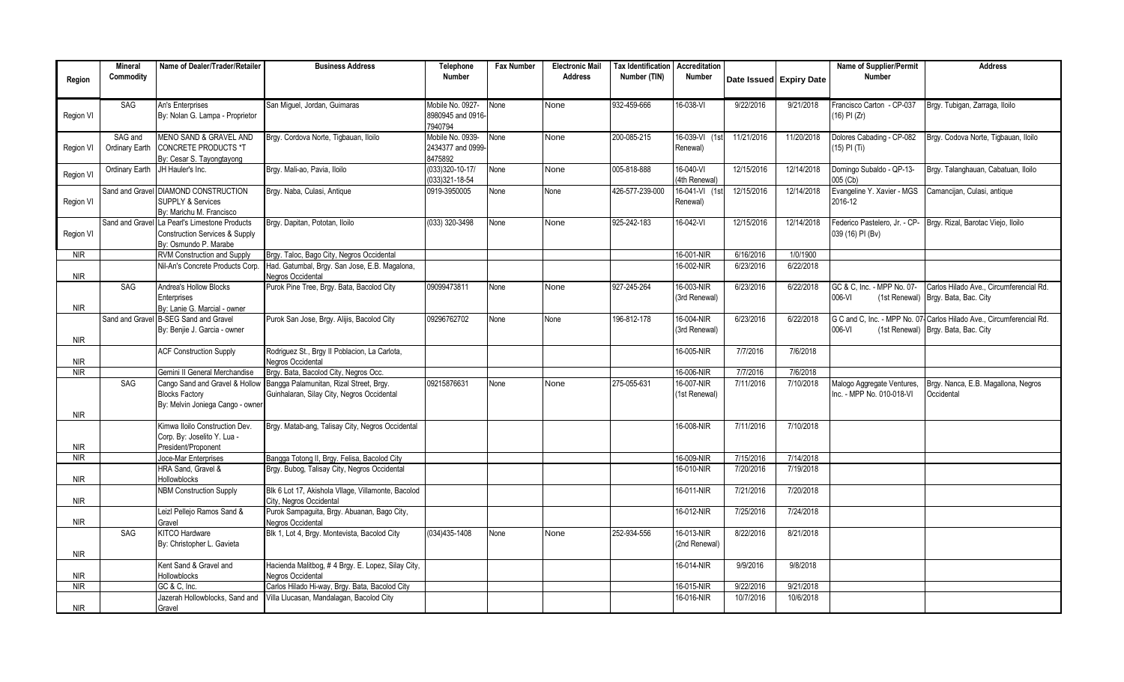|            | <b>Mineral</b>  | Name of Dealer/Trader/Retailer                     | <b>Business Address</b>                                            | <b>Telephone</b>      | <b>Fax Number</b> | <b>Electronic Mail</b> | <b>Tax Identification</b> | Accreditation |            |                         | Name of Supplier/Permit    | <b>Address</b>                                                       |
|------------|-----------------|----------------------------------------------------|--------------------------------------------------------------------|-----------------------|-------------------|------------------------|---------------------------|---------------|------------|-------------------------|----------------------------|----------------------------------------------------------------------|
| Region     | Commodity       |                                                    |                                                                    | <b>Number</b>         |                   | <b>Address</b>         | Number (TIN)              | Number        |            | Date Issued Expiry Date | <b>Number</b>              |                                                                      |
|            |                 |                                                    |                                                                    |                       |                   |                        |                           |               |            |                         |                            |                                                                      |
|            | SAG             | An's Enterprises                                   | San Miquel, Jordan, Guimaras                                       | Mobile No. 0927-      | None              | None                   | 932-459-666               | 16-038-VI     | 9/22/2016  | 9/21/2018               | Francisco Carton - CP-037  | Brgy. Tubigan, Zarraga, Iloilo                                       |
| Region VI  |                 | By: Nolan G. Lampa - Proprietor                    |                                                                    | 8980945 and 0916-     |                   |                        |                           |               |            |                         | (16) PI (Zr)               |                                                                      |
|            |                 |                                                    |                                                                    | 7940794               |                   |                        |                           |               |            |                         |                            |                                                                      |
|            | SAG and         | MENO SAND & GRAVEL AND                             | Brgy. Cordova Norte, Tigbauan, Iloilo                              | Mobile No. 0939-      | None              | None                   | 200-085-215               | 16-039-VI     | 11/21/2016 | 11/20/2018              | Dolores Cabading - CP-082  | Brgy. Codova Norte, Tigbauan, Iloilo                                 |
| Region VI  | Ordinary Earth  | <b>CONCRETE PRODUCTS *T</b>                        |                                                                    | 2434377 and 0999-     |                   |                        |                           | Renewal)      |            |                         | (15) PI (Ti)               |                                                                      |
|            |                 | By: Cesar S. Tayongtayong                          |                                                                    | 8475892               |                   |                        |                           |               |            |                         |                            |                                                                      |
|            | Ordinary Earth  | JH Hauler's Inc.                                   | Brgy. Mali-ao, Pavia, Iloilo                                       | $(033)320 - 10 - 17/$ | None              | None                   | 005-818-888               | 16-040-VI     | 12/15/2016 | 12/14/2018              | Domingo Subaldo - QP-13-   | Brgy. Talanghauan, Cabatuan, Iloilo                                  |
| Region VI  |                 |                                                    |                                                                    | 033)321-18-54         |                   |                        |                           | (4th Renewal) |            |                         | 005 (Cb)                   |                                                                      |
|            | Sand and Gravel | <b>DIAMOND CONSTRUCTION</b>                        | Brgy. Naba, Culasi, Antique                                        | 0919-3950005          | None              | None                   | 426-577-239-000           | 16-041-VI     | 12/15/2016 | 12/14/2018              | Evangeline Y. Xavier - MGS | Camancijan, Culasi, antique                                          |
| Region VI  |                 | <b>SUPPLY &amp; Services</b>                       |                                                                    |                       |                   |                        |                           | Renewal)      |            |                         | 2016-12                    |                                                                      |
|            |                 | Bv: Marichu M. Francisco                           |                                                                    |                       |                   |                        |                           |               |            |                         |                            |                                                                      |
|            |                 | Sand and Gravel La Pearl's Limestone Products      | Brgy. Dapitan, Pototan, Iloilo                                     | (033) 320-3498        | None              | None                   | 925-242-183               | 16-042-VI     | 12/15/2016 | 12/14/2018              |                            | Federico Pastelero, Jr. - CP- Brgy. Rizal, Barotac Viejo, Iloilo     |
| Region VI  |                 | Construction Services & Supply                     |                                                                    |                       |                   |                        |                           |               |            |                         | 039 (16) PI (Bv)           |                                                                      |
|            |                 | By: Osmundo P. Marabe                              |                                                                    |                       |                   |                        |                           |               |            |                         |                            |                                                                      |
| NIR        |                 | <b>RVM Construction and Supply</b>                 | Brav. Taloc. Bago City. Negros Occidental                          |                       |                   |                        |                           | 16-001-NIR    | 6/16/2016  | 1/0/1900                |                            |                                                                      |
| <b>NIR</b> |                 | Nil-An's Concrete Products Corp.                   | Had. Gatumbal, Brgy. San Jose, E.B. Magalona,<br>Negros Occidental |                       |                   |                        |                           | 16-002-NIR    | 6/23/2016  | 6/22/2018               |                            |                                                                      |
|            | SAG             | Andrea's Hollow Blocks                             | Purok Pine Tree, Brgy. Bata, Bacolod City                          | 09099473811           | None              | None                   | 927-245-264               | 16-003-NIR    | 6/23/2016  | 6/22/2018               | GC & C, Inc. - MPP No. 07- | Carlos Hilado Ave., Circumferencial Rd.                              |
|            |                 | Enterprises                                        |                                                                    |                       |                   |                        |                           | (3rd Renewal) |            |                         | 006-VI<br>(1st Renewal)    | Brgy. Bata, Bac. City                                                |
| <b>NIR</b> |                 | By: Lanie G. Marcial - owner                       |                                                                    |                       |                   |                        |                           |               |            |                         |                            |                                                                      |
|            |                 | Sand and Gravel B-SEG Sand and Gravel              | Purok San Jose, Brgy. Alijis, Bacolod City                         | 09296762702           | None              | None                   | 196-812-178               | 16-004-NIR    | 6/23/2016  | 6/22/2018               |                            | G C and C, Inc. - MPP No. 07-Carlos Hilado Ave., Circumferencial Rd. |
|            |                 | By: Benjie J. Garcia - owner                       |                                                                    |                       |                   |                        |                           | (3rd Renewal) |            |                         | 006-VI                     | (1st Renewal) Brgy. Bata, Bac. City                                  |
| <b>NIR</b> |                 |                                                    |                                                                    |                       |                   |                        |                           |               |            |                         |                            |                                                                      |
|            |                 | <b>ACF Construction Supply</b>                     | Rodriquez St., Brgy II Poblacion, La Carlota,                      |                       |                   |                        |                           | 16-005-NIR    | 7/7/2016   | 7/6/2018                |                            |                                                                      |
| <b>NIR</b> |                 |                                                    | Negros Occidental                                                  |                       |                   |                        |                           |               |            |                         |                            |                                                                      |
| <b>NIR</b> |                 | Gemini II General Merchandise                      | Brgy. Bata, Bacolod City, Negros Occ.                              |                       |                   |                        |                           | 16-006-NIR    | 7/7/2016   | 7/6/2018                |                            |                                                                      |
|            | SAG             | Cango Sand and Gravel & Hollow                     | Bangga Palamunitan, Rizal Street, Brgy.                            | 09215876631           | None              | None                   | 275-055-631               | 16-007-NIR    | 7/11/2016  | 7/10/2018               | Malogo Aggregate Ventures, | Brgy. Nanca, E.B. Magallona, Negros                                  |
|            |                 | <b>Blocks Factory</b>                              | Guinhalaran, Silay City, Negros Occidental                         |                       |                   |                        |                           | (1st Renewal) |            |                         | Inc. - MPP No. 010-018-VI  | Occidental                                                           |
|            |                 | By: Melvin Joniega Cango - owner                   |                                                                    |                       |                   |                        |                           |               |            |                         |                            |                                                                      |
| <b>NIR</b> |                 |                                                    |                                                                    |                       |                   |                        |                           |               |            |                         |                            |                                                                      |
|            |                 | Kimwa Iloilo Construction Dev.                     | Brgy. Matab-ang, Talisay City, Negros Occidental                   |                       |                   |                        |                           | 16-008-NIR    | 7/11/2016  | 7/10/2018               |                            |                                                                      |
| <b>NIR</b> |                 | Corp. By: Joselito Y. Lua -<br>President/Proponent |                                                                    |                       |                   |                        |                           |               |            |                         |                            |                                                                      |
| NIR        |                 | Joce-Mar Enterprises                               | Bangga Totong II, Brgy. Felisa, Bacolod City                       |                       |                   |                        |                           | 16-009-NIR    | 7/15/2016  | 7/14/2018               |                            |                                                                      |
|            |                 | <b>HRA Sand, Gravel &amp;</b>                      | Brgy. Bubog, Talisay City, Negros Occidental                       |                       |                   |                        |                           | 16-010-NIR    | 7/20/2016  | 7/19/2018               |                            |                                                                      |
| <b>NIR</b> |                 | Hollowblocks                                       |                                                                    |                       |                   |                        |                           |               |            |                         |                            |                                                                      |
|            |                 | <b>VBM Construction Supply</b>                     | Blk 6 Lot 17, Akishola Vllage, Villamonte, Bacolod                 |                       |                   |                        |                           | 16-011-NIR    | 7/21/2016  | 7/20/2018               |                            |                                                                      |
| <b>NIR</b> |                 |                                                    | City, Negros Occidental                                            |                       |                   |                        |                           |               |            |                         |                            |                                                                      |
|            |                 | eizl Pellejo Ramos Sand &                          | Purok Sampaguita, Brgy. Abuanan, Bago City,                        |                       |                   |                        |                           | 16-012-NIR    | 7/25/2016  | 7/24/2018               |                            |                                                                      |
| <b>NIR</b> |                 | Gravel                                             | Negros Occidental                                                  |                       |                   |                        |                           |               |            |                         |                            |                                                                      |
|            | SAG             | KITCO Hardware                                     | Blk 1, Lot 4, Brgy. Montevista, Bacolod City                       | (034)435-1408         | None              | None                   | 252-934-556               | 16-013-NIR    | 8/22/2016  | 8/21/2018               |                            |                                                                      |
|            |                 | By: Christopher L. Gavieta                         |                                                                    |                       |                   |                        |                           | (2nd Renewal) |            |                         |                            |                                                                      |
| <b>NIR</b> |                 |                                                    |                                                                    |                       |                   |                        |                           |               |            |                         |                            |                                                                      |
|            |                 | Kent Sand & Gravel and                             | Hacienda Malitbog, #4 Brgy. E. Lopez, Silay City,                  |                       |                   |                        |                           | 16-014-NIR    | 9/9/2016   | 9/8/2018                |                            |                                                                      |
| <b>NIR</b> |                 | <b>Hollowblocks</b>                                | Negros Occidental                                                  |                       |                   |                        |                           |               |            |                         |                            |                                                                      |
| <b>NIR</b> |                 | GC & C. Inc.                                       | Carlos Hilado Hi-way, Brgy. Bata, Bacolod City                     |                       |                   |                        |                           | 16-015-NIR    | 9/22/2016  | 9/21/2018               |                            |                                                                      |
| <b>NIR</b> |                 | Jazerah Hollowblocks, Sand and                     | Villa Llucasan, Mandalagan, Bacolod City                           |                       |                   |                        |                           | 16-016-NIR    | 10/7/2016  | 10/6/2018               |                            |                                                                      |
|            |                 | Gravel                                             |                                                                    |                       |                   |                        |                           |               |            |                         |                            |                                                                      |